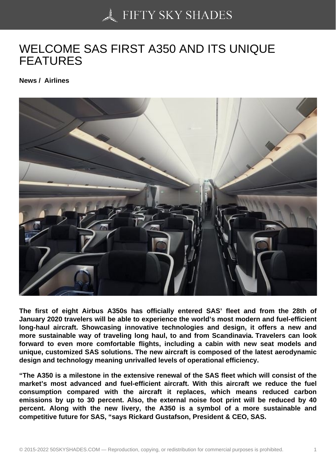## [WELCOME SAS FIRS](https://50skyshades.com)T A350 AND ITS UNIQUE FEATURES

News / Airlines

The first of eight Airbus A350s has officially entered SAS' fleet and from the 28th of January 2020 travelers will be able to experience the world's most modern and fuel-efficient long-haul aircraft. Showcasing innovative technologies and design, it offers a new and more sustainable way of traveling long haul, to and from Scandinavia. Travelers can look forward to even more comfortable flights, including a cabin with new seat models and unique, customized SAS solutions. The new aircraft is composed of the latest aerodynamic design and technology meaning unrivalled levels of operational efficiency.

"The A350 is a milestone in the extensive renewal of the SAS fleet which will consist of the market's most advanced and fuel-efficient aircraft. With this aircraft we reduce the fuel consumption compared with the aircraft it replaces, which means reduced carbon emissions by up to 30 percent. Also, the external noise foot print will be reduced by 40 percent. Along with the new livery, the A350 is a symbol of a more sustainable and competitive future for SAS, "says Rickard Gustafson, President & CEO, SAS.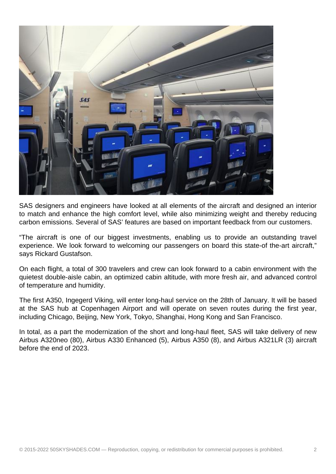

SAS designers and engineers have looked at all elements of the aircraft and designed an interior to match and enhance the high comfort level, while also minimizing weight and thereby reducing carbon emissions. Several of SAS' features are based on important feedback from our customers.

"The aircraft is one of our biggest investments, enabling us to provide an outstanding travel experience. We look forward to welcoming our passengers on board this state-of the-art aircraft," says Rickard Gustafson.

On each flight, a total of 300 travelers and crew can look forward to a cabin environment with the quietest double-aisle cabin, an optimized cabin altitude, with more fresh air, and advanced control of temperature and humidity.

The first A350, Ingegerd Viking, will enter long-haul service on the 28th of January. It will be based at the SAS hub at Copenhagen Airport and will operate on seven routes during the first year, including Chicago, Beijing, New York, Tokyo, Shanghai, Hong Kong and San Francisco.

In total, as a part the modernization of the short and long-haul fleet, SAS will take delivery of new Airbus A320neo (80), Airbus A330 Enhanced (5), Airbus A350 (8), and Airbus A321LR (3) aircraft before the end of 2023.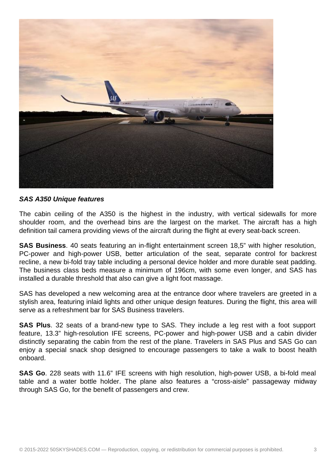

## **SAS A350 Unique features**

The cabin ceiling of the A350 is the highest in the industry, with vertical sidewalls for more shoulder room, and the overhead bins are the largest on the market. The aircraft has a high definition tail camera providing views of the aircraft during the flight at every seat-back screen.

**SAS Business**. 40 seats featuring an in-flight entertainment screen 18,5" with higher resolution, PC-power and high-power USB, better articulation of the seat, separate control for backrest recline, a new bi-fold tray table including a personal device holder and more durable seat padding. The business class beds measure a minimum of 196cm, with some even longer, and SAS has installed a durable threshold that also can give a light foot massage.

SAS has developed a new welcoming area at the entrance door where travelers are greeted in a stylish area, featuring inlaid lights and other unique design features. During the flight, this area will serve as a refreshment bar for SAS Business travelers.

**SAS Plus**. 32 seats of a brand-new type to SAS. They include a leg rest with a foot support feature, 13.3" high-resolution IFE screens, PC-power and high-power USB and a cabin divider distinctly separating the cabin from the rest of the plane. Travelers in SAS Plus and SAS Go can enjoy a special snack shop designed to encourage passengers to take a walk to boost health onboard.

**SAS Go**. 228 seats with 11.6" IFE screens with high resolution, high-power USB, a bi-fold meal table and a water bottle holder. The plane also features a "cross-aisle" passageway midway through SAS Go, for the benefit of passengers and crew.